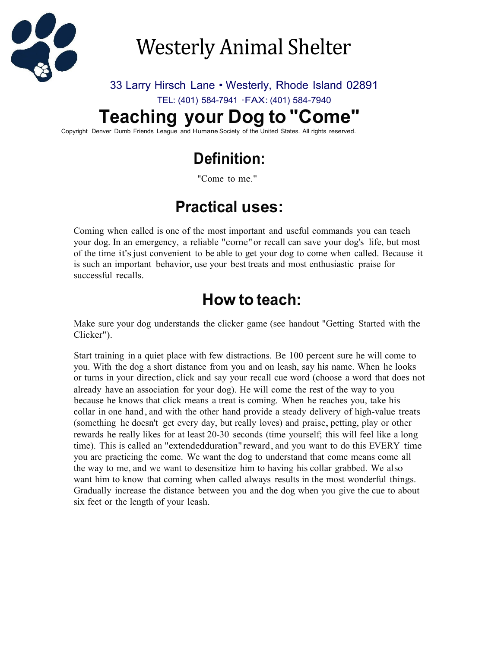

# Westerly Animal Shelter

#### 33 Larry Hirsch Lane • Westerly, Rhode Island 02891

TEL: (401) 584-7941 ·FAX: (401) 584-7940

# **Teaching your Dog to "Come"**

Copyright Denver Dumb Friends League and Humane Society of the United States. All rights reserved.

# **Definition:**

"Come to me."

### **Practical uses:**

Coming when called is one of the most important and useful commands you can teach your dog. In an emergency, a reliable "come"or recall can save your dog's life, but most of the time it'sjust convenient to be able to get your dog to come when called. Because it is such an important behavior, use your best treats and most enthusiastic praise for successful recalls.

#### **How to teach:**

Make sure your dog understands the clicker game (see handout "Getting Started with the Clicker").

Start training in a quiet place with few distractions. Be 100 percent sure he will come to you. With the dog a short distance from you and on leash, say his name. When he looks or turns in your direction, click and say your recall cue word (choose a word that does not already have an association for your dog). He will come the rest of the way to you because he knows that click means a treat is coming. When he reaches you, take his collar in one hand, and with the other hand provide a steady delivery of high-value treats (something he doesn't get every day, but really loves) and praise, petting, play or other rewards he really likes for at least 20-30 seconds (time yourself; this will feel like a long time). This is called an "extendedduration" reward, and you want to do this EVERY time you are practicing the come. We want the dog to understand that come means come all the way to me, and we want to desensitize him to having his collar grabbed. We also want him to know that coming when called always results in the most wonderful things. Gradually increase the distance between you and the dog when you give the cue to about six feet or the length of your leash.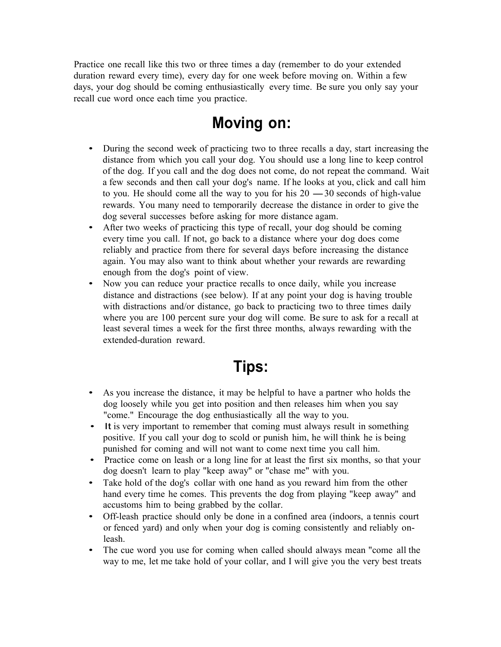Practice one recall like this two or three times a day (remember to do your extended duration reward every time), every day for one week before moving on. Within a few days, your dog should be coming enthusiastically every time. Be sure you only say your recall cue word once each time you practice.

#### **Moving on:**

- During the second week of practicing two to three recalls a day, start increasing the distance from which you call your dog. You should use a long line to keep control of the dog. If you call and the dog does not come, do not repeat the command. Wait<br>a few seconds and then call your dog's name. If he looks at you, click and call him<br>to you. He should come all the way to you for his 20 -3 a few seconds and then call your dog's name. If he looks at you, click and call him rewards. You many need to temporarily decrease the distance in order to give the dog several successes before asking for more distance agam.
- After two weeks of practicing this type of recall, your dog should be coming every time you call. If not, go back to a distance where your dog does come reliably and practice from there for several days before increasing the distance again. You may also want to think about whether your rewards are rewarding enough from the dog's point of view.
- Now you can reduce your practice recalls to once daily, while you increase distance and distractions (see below). If at any point your dog is having trouble with distractions and/or distance, go back to practicing two to three times daily where you are 100 percent sure your dog will come. Be sure to ask for a recall at least several times a week for the first three months, always rewarding with the extended-duration reward.

### **Tips:**

- As you increase the distance, it may be helpful to have a partner who holds the dog loosely while you get into position and then releases him when you say "come." Encourage the dog enthusiastically all the way to you.
- It is very important to remember that coming must always result in something positive. If you call your dog to scold or punish him, he will think he is being punished for coming and will not want to come next time you call him.
- Practice come on leash or a long line for at least the first six months, so that your dog doesn't learn to play "keep away" or "chase me" with you.
- Take hold of the dog's collar with one hand as you reward him from the other hand every time he comes. This prevents the dog from playing "keep away" and accustoms him to being grabbed by the collar.
- Off-leash practice should only be done in a confined area (indoors, a tennis court or fenced yard) and only when your dog is coming consistently and reliably onleash.
- The cue word you use for coming when called should always mean "come all the way to me, let me take hold of your collar, and I will give you the very best treats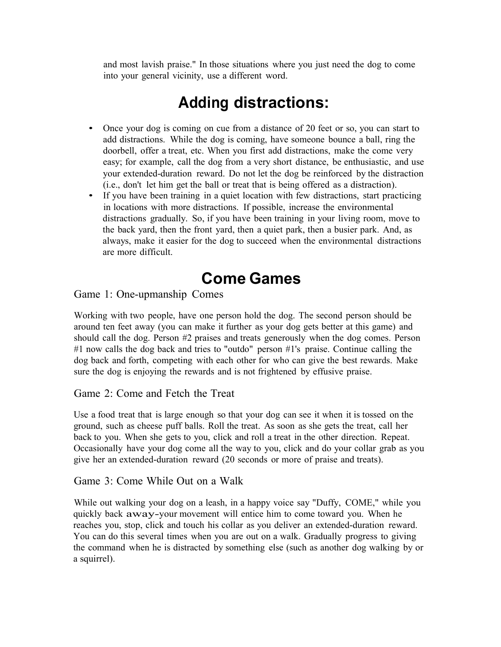and most lavish praise." In those situations where you just need the dog to come into your general vicinity, use a different word.

## **Adding distractions:**

- Once your dog is coming on cue from a distance of 20 feet or so, you can start to add distractions. While the dog is coming, have someone bounce a ball, ring the doorbell, offer a treat, etc. When you first add distractions, make the come very easy; for example, call the dog from a very short distance, be enthusiastic, and use your extended-duration reward. Do not let the dog be reinforced by the distraction (i.e., don't let him get the ball or treat that is being offered as a distraction).
- If you have been training in a quiet location with few distractions, start practicing in locations with more distractions. If possible, increase the environmental distractions gradually. So, if you have been training in your living room, move to the back yard, then the front yard, then a quiet park, then a busier park. And, as always, make it easier for the dog to succeed when the environmental distractions are more difficult.

#### **Come Games**

Game 1: One-upmanship Comes

Working with two people, have one person hold the dog. The second person should be around ten feet away (you can make it further as your dog gets better at this game) and should call the dog. Person #2 praises and treats generously when the dog comes. Person #1 now calls the dog back and tries to "outdo" person #1's praise. Continue calling the dog back and forth, competing with each other for who can give the best rewards. Make sure the dog is enjoying the rewards and is not frightened by effusive praise.

#### Game 2: Come and Fetch the Treat

Use a food treat that is large enough so that your dog can see it when it is tossed on the ground, such as cheese puff balls. Roll the treat. As soon as she gets the treat, call her back to you. When she gets to you, click and roll a treat in the other direction. Repeat. Occasionally have your dog come all the way to you, click and do your collar grab as you give her an extended-duration reward (20 seconds or more of praise and treats).

Game 3: Come While Out on a Walk

While out walking your dog on a leash, in a happy voice say "Duffy, COME," while you quickly back away-your movement will entice him to come toward you. When he reaches you, stop, click and touch his collar as you deliver an extended-duration reward. You can do this several times when you are out on a walk. Gradually progress to giving the command when he is distracted by something else (such as another dog walking by or a squirrel).